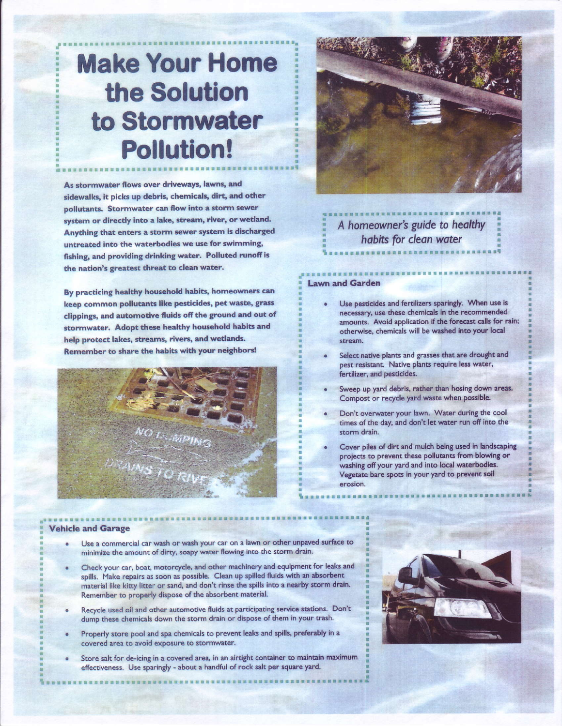# **Make Your Home** the Solution to Stormwater **Pollution!**

As stormwater flows over driveways, lawns, and sidewalks, it picks up debris, chemicals, dirt, and other pollutants. Stormwater can flow into a storm sewer system or directly into a lake, stream, river, or wetland. Anything that enters a storm sewer system is discharged untreated into the waterbodies we use for swimming, fishing, and providing drinking water. Polluted runoff is the nation's greatest threat to clean water.

By practicing healthy household habits, homeowners can keep common pollutants like pesticides, pet waste, grass clippings, and automotive fluids off the ground and out of stormwater. Adopt these healthy household habits and help protect lakes, streams, rivers, and wetlands. Remember to share the habits with your neighbors!





## A homeowner's guide to healthy habits for clean water

#### **Lawn and Garden**

- Use pesticides and fertilizers sparingly. When use is necessary, use these chemicals in the recommended amounts. Avoid application if the forecast calls for rain; otherwise, chemicals will be washed into your local stream.
- Select native plants and grasses that are drought and pest resistant. Native plants require less water, fertilizer, and pesticides.
- Sweep up yard debris, rather than hosing down areas. Compost or recycle yard waste when possible.
- Don't overwater your lawn. Water during the cool times of the day, and don't let water run off into the storm drain.
- Cover piles of dirt and mulch being used in landscaping projects to prevent these pollutants from blowing or washing off your yard and into local waterbodies. Vegetate bare spots in your yard to prevent soil erosion.

#### **Vehicle and Garage**

- Use a commercial car wash or wash your car on a lawn or other unpaved surface to minimize the amount of dirty, soapy water flowing into the storm drain.
- Check your car, boat, motorcycle, and other machinery and equipment for leaks and spills. Make repairs as soon as possible. Clean up spilled fluids with an absorbent material like kitty litter or sand, and don't rinse the spills into a nearby storm drain. Remember to properly dispose of the absorbent material.
- Recycle used oil and other automotive fluids at participating service stations. Don't dump these chemicals down the storm drain or dispose of them in your trash.
- Properly store pool and spa chemicals to prevent leaks and spills, preferably in a covered area to avoid exposure to stormwater.
- Store salt for de-icing in a covered area, in an airtight container to maintain maximum effectiveness. Use sparingly - about a handful of rock salt per square yard.